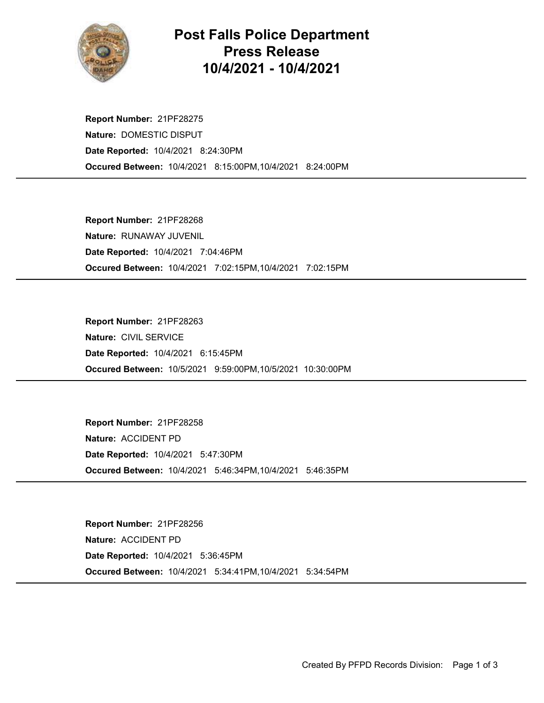

## Post Falls Police Department Press Release 10/4/2021 - 10/4/2021

Occured Between: 10/4/2021 8:15:00PM,10/4/2021 8:24:00PM Report Number: 21PF28275 Nature: DOMESTIC DISPUT Date Reported: 10/4/2021 8:24:30PM

Occured Between: 10/4/2021 7:02:15PM,10/4/2021 7:02:15PM Report Number: 21PF28268 Nature: RUNAWAY JUVENIL Date Reported: 10/4/2021 7:04:46PM

Occured Between: 10/5/2021 9:59:00PM,10/5/2021 10:30:00PM Report Number: 21PF28263 Nature: CIVIL SERVICE Date Reported: 10/4/2021 6:15:45PM

Occured Between: 10/4/2021 5:46:34PM,10/4/2021 5:46:35PM Report Number: 21PF28258 Nature: ACCIDENT PD Date Reported: 10/4/2021 5:47:30PM

Occured Between: 10/4/2021 5:34:41PM,10/4/2021 5:34:54PM Report Number: 21PF28256 Nature: ACCIDENT PD Date Reported: 10/4/2021 5:36:45PM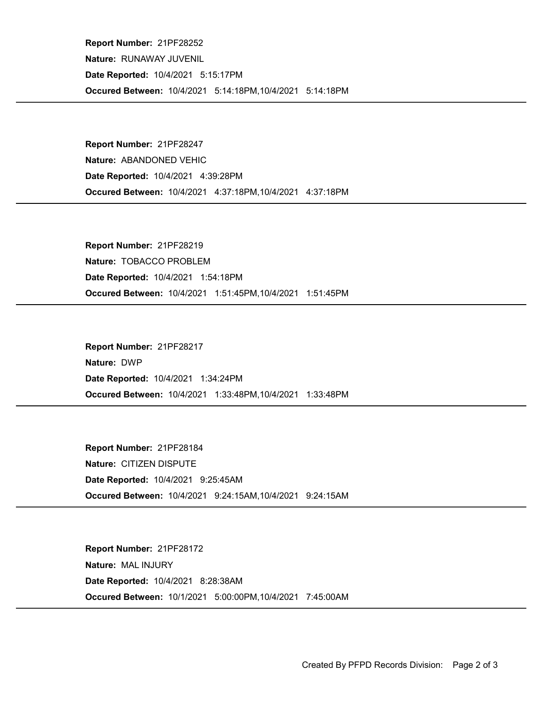Occured Between: 10/4/2021 5:14:18PM,10/4/2021 5:14:18PM Report Number: 21PF28252 Nature: RUNAWAY JUVENIL Date Reported: 10/4/2021 5:15:17PM

Occured Between: 10/4/2021 4:37:18PM,10/4/2021 4:37:18PM Report Number: 21PF28247 Nature: ABANDONED VEHIC Date Reported: 10/4/2021 4:39:28PM

Occured Between: 10/4/2021 1:51:45PM,10/4/2021 1:51:45PM Report Number: 21PF28219 Nature: TOBACCO PROBLEM Date Reported: 10/4/2021 1:54:18PM

Occured Between: 10/4/2021 1:33:48PM,10/4/2021 1:33:48PM Report Number: 21PF28217 Nature: DWP Date Reported: 10/4/2021 1:34:24PM

Occured Between: 10/4/2021 9:24:15AM,10/4/2021 9:24:15AM Report Number: 21PF28184 Nature: CITIZEN DISPUTE Date Reported: 10/4/2021 9:25:45AM

Occured Between: 10/1/2021 5:00:00PM,10/4/2021 7:45:00AM Report Number: 21PF28172 Nature: MAL INJURY Date Reported: 10/4/2021 8:28:38AM